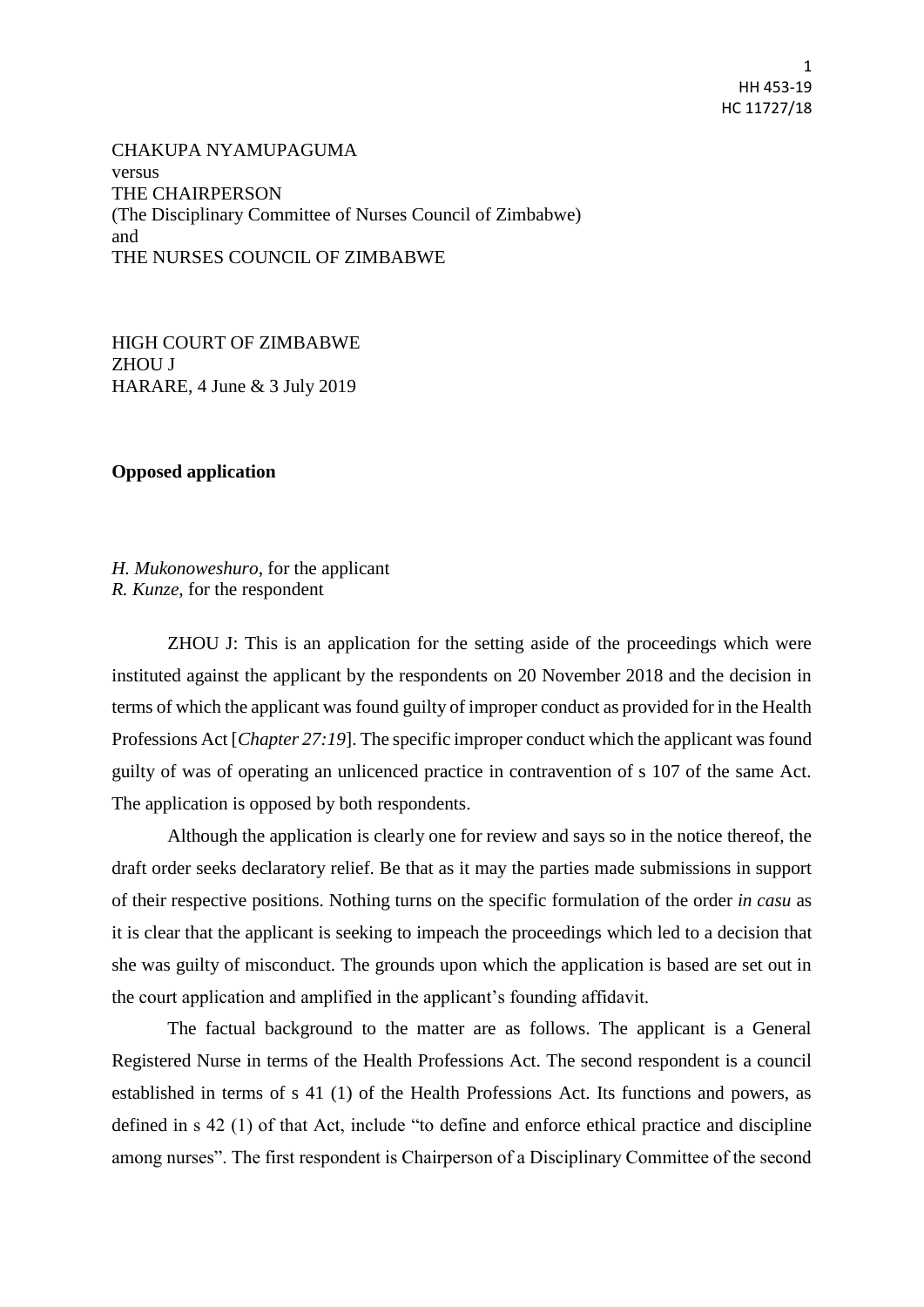1 HH 453-19 HC 11727/18

CHAKUPA NYAMUPAGUMA versus THE CHAIRPERSON (The Disciplinary Committee of Nurses Council of Zimbabwe) and THE NURSES COUNCIL OF ZIMBABWE

HIGH COURT OF ZIMBABWE ZHOU J HARARE, 4 June & 3 July 2019

## **Opposed application**

*H. Mukonoweshuro*, for the applicant *R. Kunze*, for the respondent

ZHOU J: This is an application for the setting aside of the proceedings which were instituted against the applicant by the respondents on 20 November 2018 and the decision in terms of which the applicant was found guilty of improper conduct as provided for in the Health Professions Act [*Chapter 27:19*]. The specific improper conduct which the applicant was found guilty of was of operating an unlicenced practice in contravention of s 107 of the same Act. The application is opposed by both respondents.

Although the application is clearly one for review and says so in the notice thereof, the draft order seeks declaratory relief. Be that as it may the parties made submissions in support of their respective positions. Nothing turns on the specific formulation of the order *in casu* as it is clear that the applicant is seeking to impeach the proceedings which led to a decision that she was guilty of misconduct. The grounds upon which the application is based are set out in the court application and amplified in the applicant's founding affidavit.

The factual background to the matter are as follows. The applicant is a General Registered Nurse in terms of the Health Professions Act. The second respondent is a council established in terms of s 41 (1) of the Health Professions Act. Its functions and powers, as defined in s 42 (1) of that Act, include "to define and enforce ethical practice and discipline among nurses". The first respondent is Chairperson of a Disciplinary Committee of the second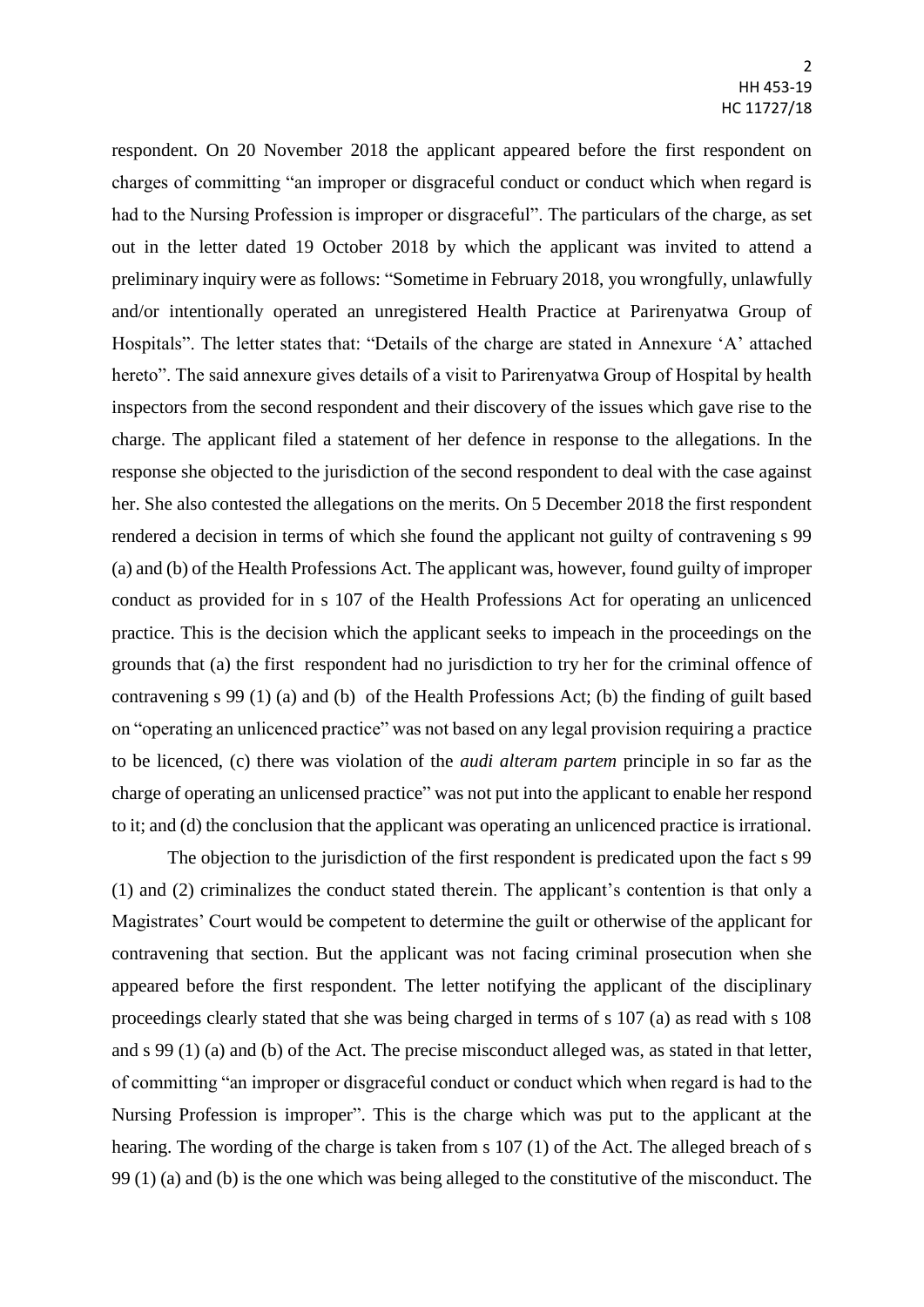respondent. On 20 November 2018 the applicant appeared before the first respondent on charges of committing "an improper or disgraceful conduct or conduct which when regard is had to the Nursing Profession is improper or disgraceful". The particulars of the charge, as set out in the letter dated 19 October 2018 by which the applicant was invited to attend a preliminary inquiry were as follows: "Sometime in February 2018, you wrongfully, unlawfully and/or intentionally operated an unregistered Health Practice at Parirenyatwa Group of Hospitals". The letter states that: "Details of the charge are stated in Annexure 'A' attached hereto". The said annexure gives details of a visit to Parirenyatwa Group of Hospital by health inspectors from the second respondent and their discovery of the issues which gave rise to the charge. The applicant filed a statement of her defence in response to the allegations. In the response she objected to the jurisdiction of the second respondent to deal with the case against her. She also contested the allegations on the merits. On 5 December 2018 the first respondent rendered a decision in terms of which she found the applicant not guilty of contravening s 99 (a) and (b) of the Health Professions Act. The applicant was, however, found guilty of improper conduct as provided for in s 107 of the Health Professions Act for operating an unlicenced practice. This is the decision which the applicant seeks to impeach in the proceedings on the grounds that (a) the first respondent had no jurisdiction to try her for the criminal offence of contravening s 99 (1) (a) and (b) of the Health Professions Act; (b) the finding of guilt based on "operating an unlicenced practice" was not based on any legal provision requiring a practice to be licenced, (c) there was violation of the *audi alteram partem* principle in so far as the charge of operating an unlicensed practice" was not put into the applicant to enable her respond to it; and (d) the conclusion that the applicant was operating an unlicenced practice is irrational.

The objection to the jurisdiction of the first respondent is predicated upon the fact s 99 (1) and (2) criminalizes the conduct stated therein. The applicant's contention is that only a Magistrates' Court would be competent to determine the guilt or otherwise of the applicant for contravening that section. But the applicant was not facing criminal prosecution when she appeared before the first respondent. The letter notifying the applicant of the disciplinary proceedings clearly stated that she was being charged in terms of s 107 (a) as read with s 108 and s 99 (1) (a) and (b) of the Act. The precise misconduct alleged was, as stated in that letter, of committing "an improper or disgraceful conduct or conduct which when regard is had to the Nursing Profession is improper". This is the charge which was put to the applicant at the hearing. The wording of the charge is taken from s 107 (1) of the Act. The alleged breach of s 99 (1) (a) and (b) is the one which was being alleged to the constitutive of the misconduct. The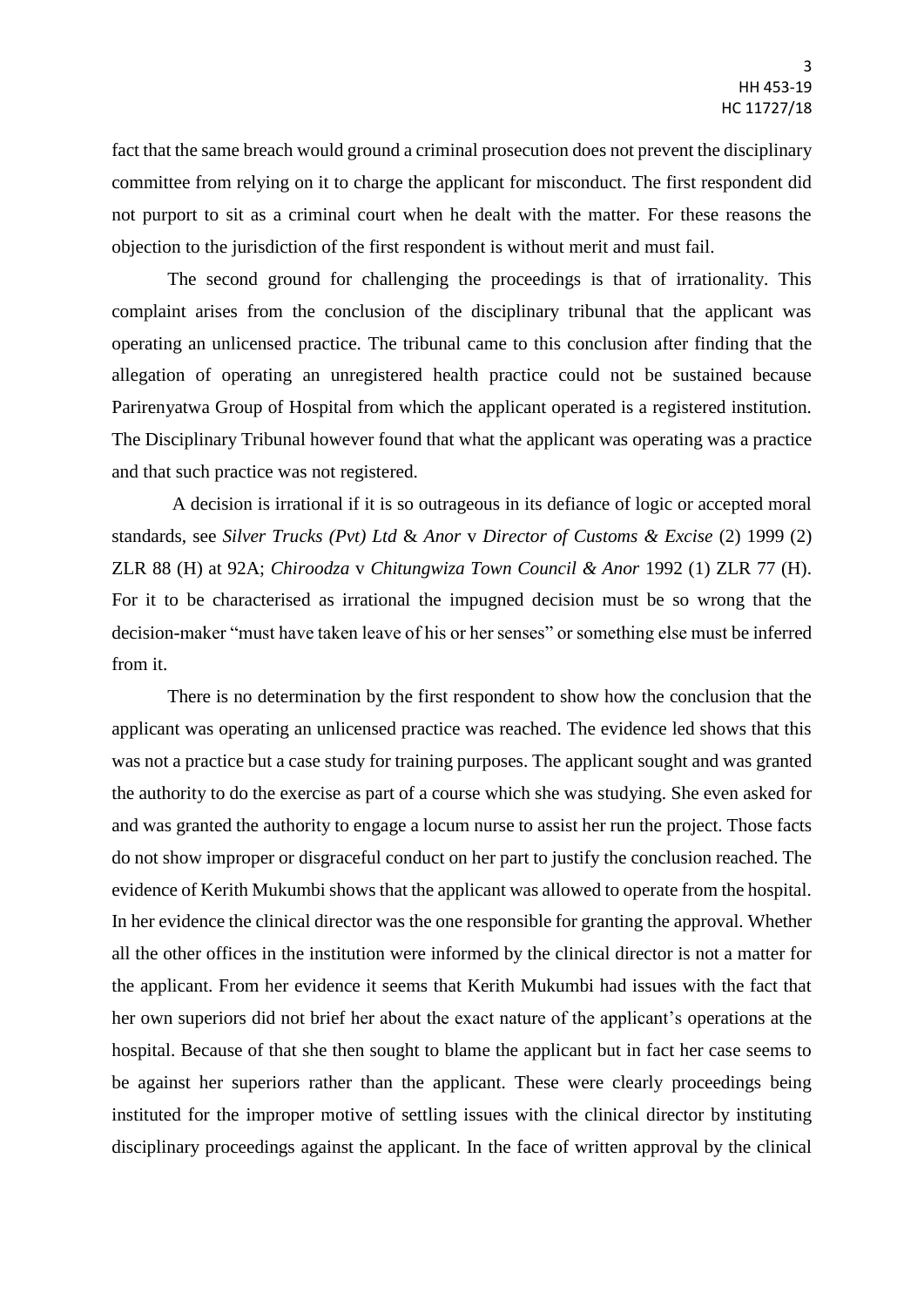fact that the same breach would ground a criminal prosecution does not prevent the disciplinary committee from relying on it to charge the applicant for misconduct. The first respondent did not purport to sit as a criminal court when he dealt with the matter. For these reasons the objection to the jurisdiction of the first respondent is without merit and must fail.

The second ground for challenging the proceedings is that of irrationality. This complaint arises from the conclusion of the disciplinary tribunal that the applicant was operating an unlicensed practice. The tribunal came to this conclusion after finding that the allegation of operating an unregistered health practice could not be sustained because Parirenyatwa Group of Hospital from which the applicant operated is a registered institution. The Disciplinary Tribunal however found that what the applicant was operating was a practice and that such practice was not registered.

A decision is irrational if it is so outrageous in its defiance of logic or accepted moral standards, see *Silver Trucks (Pvt) Ltd* & *Anor* v *Director of Customs & Excise* (2) 1999 (2) ZLR 88 (H) at 92A; *Chiroodza* v *Chitungwiza Town Council & Anor* 1992 (1) ZLR 77 (H). For it to be characterised as irrational the impugned decision must be so wrong that the decision-maker "must have taken leave of his or her senses" or something else must be inferred from it.

There is no determination by the first respondent to show how the conclusion that the applicant was operating an unlicensed practice was reached. The evidence led shows that this was not a practice but a case study for training purposes. The applicant sought and was granted the authority to do the exercise as part of a course which she was studying. She even asked for and was granted the authority to engage a locum nurse to assist her run the project. Those facts do not show improper or disgraceful conduct on her part to justify the conclusion reached. The evidence of Kerith Mukumbi shows that the applicant was allowed to operate from the hospital. In her evidence the clinical director was the one responsible for granting the approval. Whether all the other offices in the institution were informed by the clinical director is not a matter for the applicant. From her evidence it seems that Kerith Mukumbi had issues with the fact that her own superiors did not brief her about the exact nature of the applicant's operations at the hospital. Because of that she then sought to blame the applicant but in fact her case seems to be against her superiors rather than the applicant. These were clearly proceedings being instituted for the improper motive of settling issues with the clinical director by instituting disciplinary proceedings against the applicant. In the face of written approval by the clinical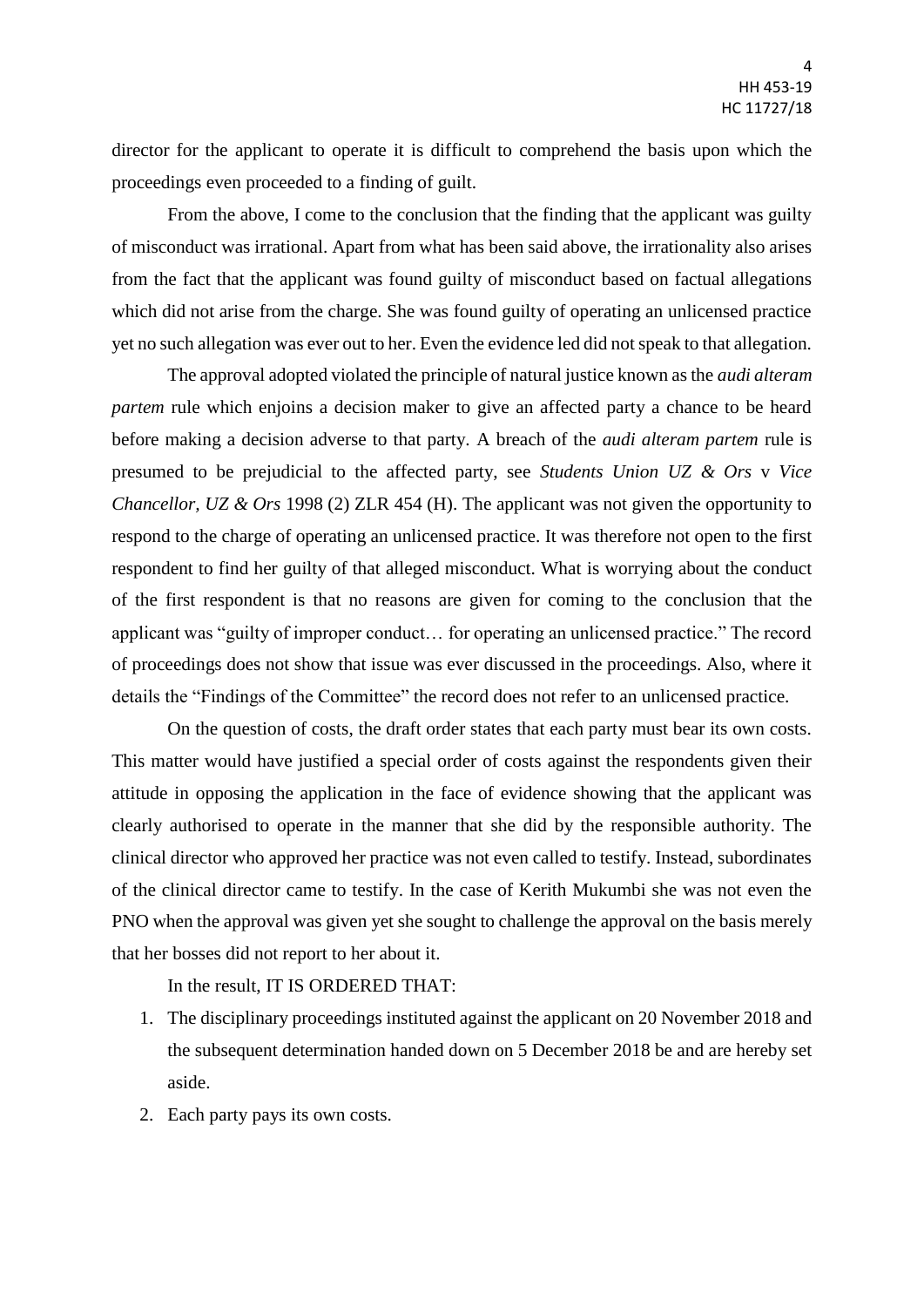director for the applicant to operate it is difficult to comprehend the basis upon which the proceedings even proceeded to a finding of guilt.

From the above, I come to the conclusion that the finding that the applicant was guilty of misconduct was irrational. Apart from what has been said above, the irrationality also arises from the fact that the applicant was found guilty of misconduct based on factual allegations which did not arise from the charge. She was found guilty of operating an unlicensed practice yet no such allegation was ever out to her. Even the evidence led did not speak to that allegation.

The approval adopted violated the principle of natural justice known as the *audi alteram partem* rule which enjoins a decision maker to give an affected party a chance to be heard before making a decision adverse to that party. A breach of the *audi alteram partem* rule is presumed to be prejudicial to the affected party, see *Students Union UZ & Ors* v *Vice Chancellor, UZ & Ors* 1998 (2) ZLR 454 (H). The applicant was not given the opportunity to respond to the charge of operating an unlicensed practice. It was therefore not open to the first respondent to find her guilty of that alleged misconduct. What is worrying about the conduct of the first respondent is that no reasons are given for coming to the conclusion that the applicant was "guilty of improper conduct… for operating an unlicensed practice." The record of proceedings does not show that issue was ever discussed in the proceedings. Also, where it details the "Findings of the Committee" the record does not refer to an unlicensed practice.

On the question of costs, the draft order states that each party must bear its own costs. This matter would have justified a special order of costs against the respondents given their attitude in opposing the application in the face of evidence showing that the applicant was clearly authorised to operate in the manner that she did by the responsible authority. The clinical director who approved her practice was not even called to testify. Instead, subordinates of the clinical director came to testify. In the case of Kerith Mukumbi she was not even the PNO when the approval was given yet she sought to challenge the approval on the basis merely that her bosses did not report to her about it.

In the result, IT IS ORDERED THAT:

- 1. The disciplinary proceedings instituted against the applicant on 20 November 2018 and the subsequent determination handed down on 5 December 2018 be and are hereby set aside.
- 2. Each party pays its own costs.